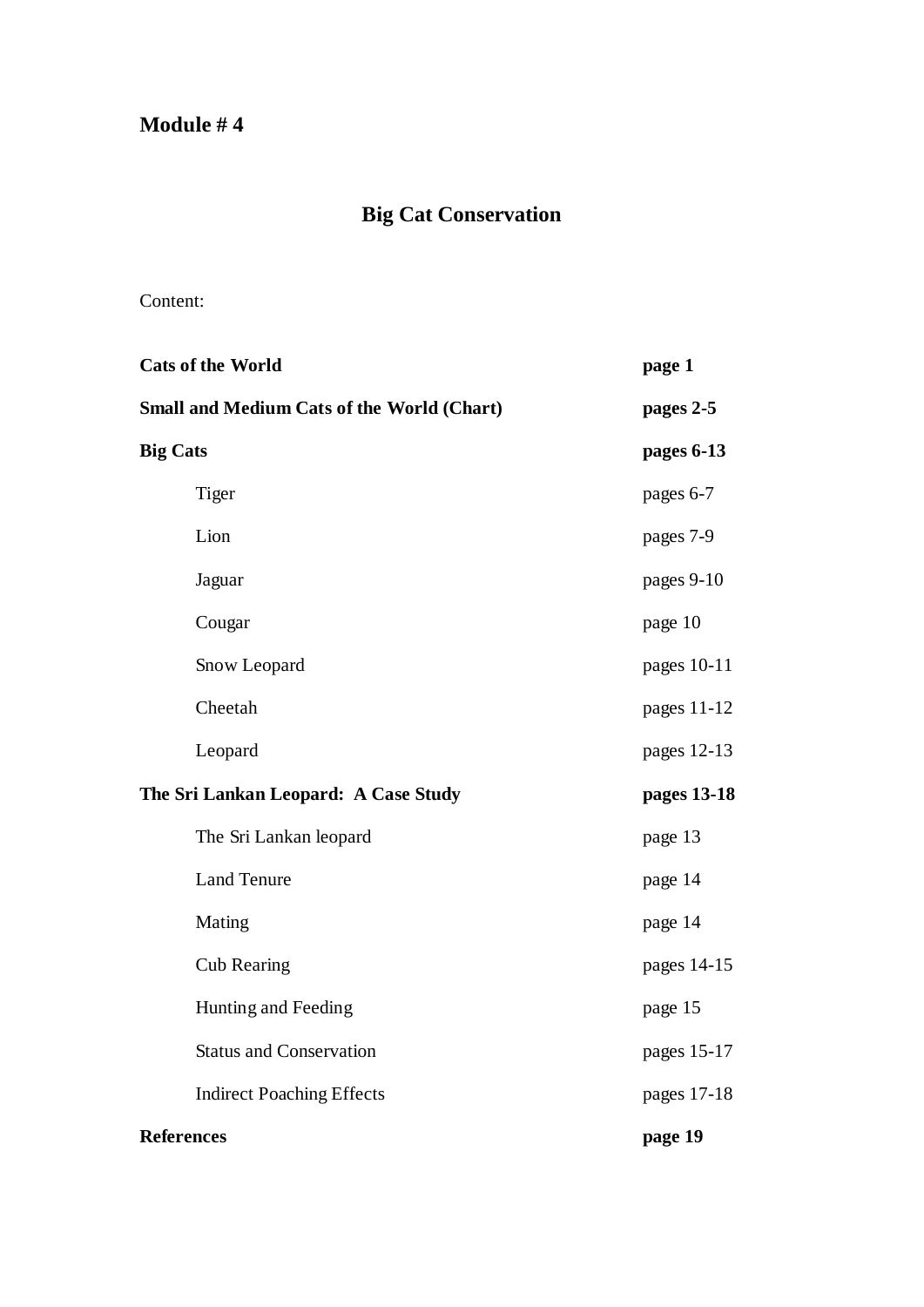## **Module # 4**

# **Big Cat Conservation**

## Content:

| <b>Cats of the World</b>                          |                                  | page 1      |
|---------------------------------------------------|----------------------------------|-------------|
| <b>Small and Medium Cats of the World (Chart)</b> |                                  | pages 2-5   |
| <b>Big Cats</b>                                   |                                  | pages 6-13  |
|                                                   | Tiger                            | pages 6-7   |
|                                                   | Lion                             | pages 7-9   |
|                                                   | Jaguar                           | pages 9-10  |
|                                                   | Cougar                           | page 10     |
|                                                   | Snow Leopard                     | pages 10-11 |
|                                                   | Cheetah                          | pages 11-12 |
|                                                   | Leopard                          | pages 12-13 |
| The Sri Lankan Leopard: A Case Study              |                                  | pages 13-18 |
|                                                   | The Sri Lankan leopard           | page 13     |
|                                                   | <b>Land Tenure</b>               | page 14     |
|                                                   | Mating                           | page 14     |
|                                                   | <b>Cub Rearing</b>               | pages 14-15 |
|                                                   | Hunting and Feeding              | page 15     |
|                                                   | <b>Status and Conservation</b>   | pages 15-17 |
|                                                   | <b>Indirect Poaching Effects</b> | pages 17-18 |
| <b>References</b>                                 |                                  | page 19     |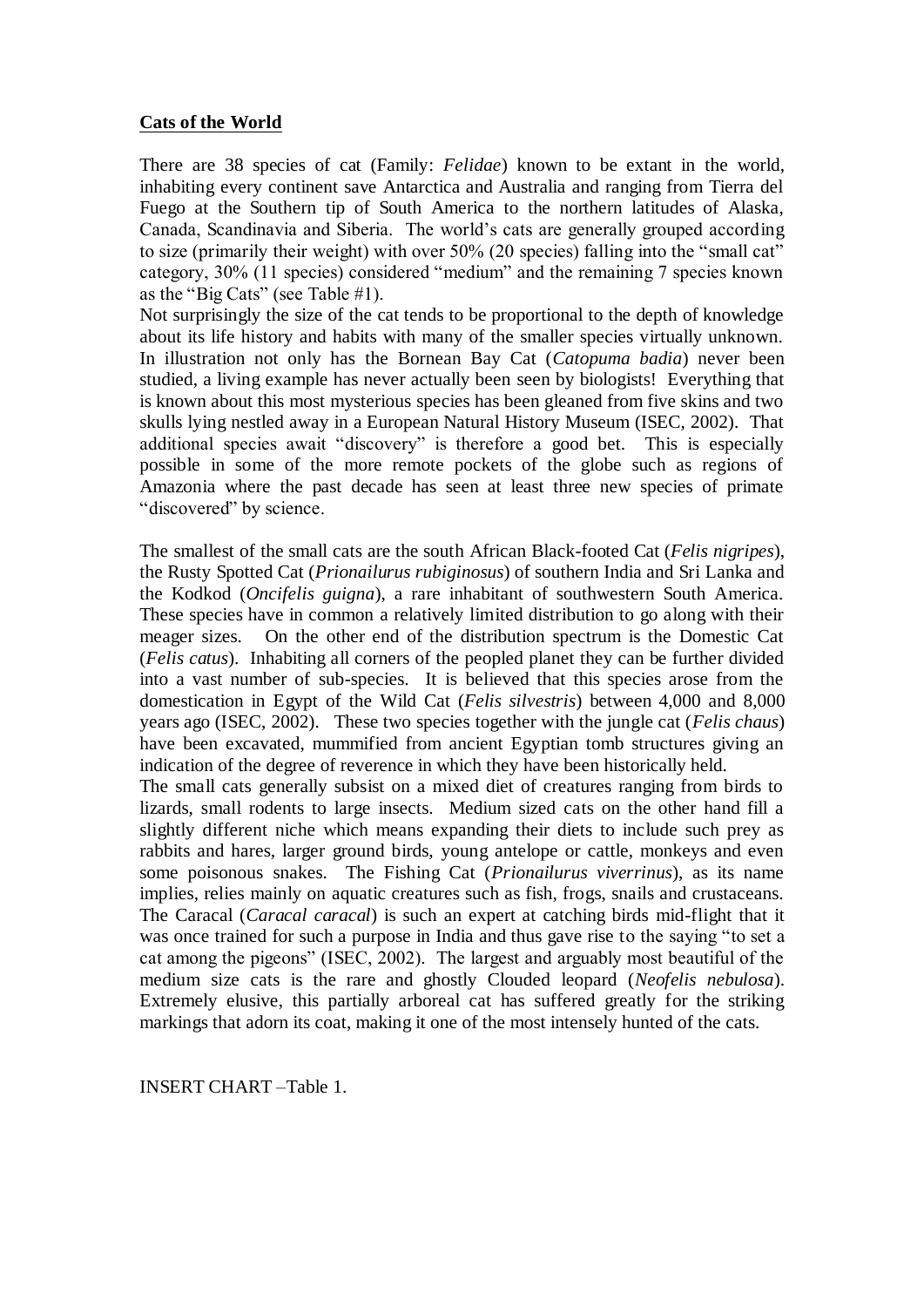#### **Cats of the World**

There are 38 species of cat (Family: *Felidae*) known to be extant in the world, inhabiting every continent save Antarctica and Australia and ranging from Tierra del Fuego at the Southern tip of South America to the northern latitudes of Alaska, Canada, Scandinavia and Siberia. The world's cats are generally grouped according to size (primarily their weight) with over 50% (20 species) falling into the "small cat" category, 30% (11 species) considered "medium" and the remaining 7 species known as the "Big Cats" (see Table #1).

Not surprisingly the size of the cat tends to be proportional to the depth of knowledge about its life history and habits with many of the smaller species virtually unknown. In illustration not only has the Bornean Bay Cat (*Catopuma badia*) never been studied, a living example has never actually been seen by biologists! Everything that is known about this most mysterious species has been gleaned from five skins and two skulls lying nestled away in a European Natural History Museum (ISEC, 2002). That additional species await "discovery" is therefore a good bet. This is especially possible in some of the more remote pockets of the globe such as regions of Amazonia where the past decade has seen at least three new species of primate "discovered" by science.

The smallest of the small cats are the south African Black-footed Cat (*Felis nigripes*), the Rusty Spotted Cat (*Prionailurus rubiginosus*) of southern India and Sri Lanka and the Kodkod (*Oncifelis guigna*), a rare inhabitant of southwestern South America. These species have in common a relatively limited distribution to go along with their meager sizes. On the other end of the distribution spectrum is the Domestic Cat (*Felis catus*). Inhabiting all corners of the peopled planet they can be further divided into a vast number of sub-species. It is believed that this species arose from the domestication in Egypt of the Wild Cat (*Felis silvestris*) between 4,000 and 8,000 years ago (ISEC, 2002). These two species together with the jungle cat (*Felis chaus*) have been excavated, mummified from ancient Egyptian tomb structures giving an indication of the degree of reverence in which they have been historically held. The small cats generally subsist on a mixed diet of creatures ranging from birds to lizards, small rodents to large insects. Medium sized cats on the other hand fill a slightly different niche which means expanding their diets to include such prey as rabbits and hares, larger ground birds, young antelope or cattle, monkeys and even some poisonous snakes. The Fishing Cat (*Prionailurus viverrinus*), as its name implies, relies mainly on aquatic creatures such as fish, frogs, snails and crustaceans. The Caracal (*Caracal caracal*) is such an expert at catching birds mid-flight that it was once trained for such a purpose in India and thus gave rise to the saying "to set a cat among the pigeons" (ISEC, 2002). The largest and arguably most beautiful of the medium size cats is the rare and ghostly Clouded leopard (*Neofelis nebulosa*). Extremely elusive, this partially arboreal cat has suffered greatly for the striking markings that adorn its coat, making it one of the most intensely hunted of the cats.

INSERT CHART –Table 1.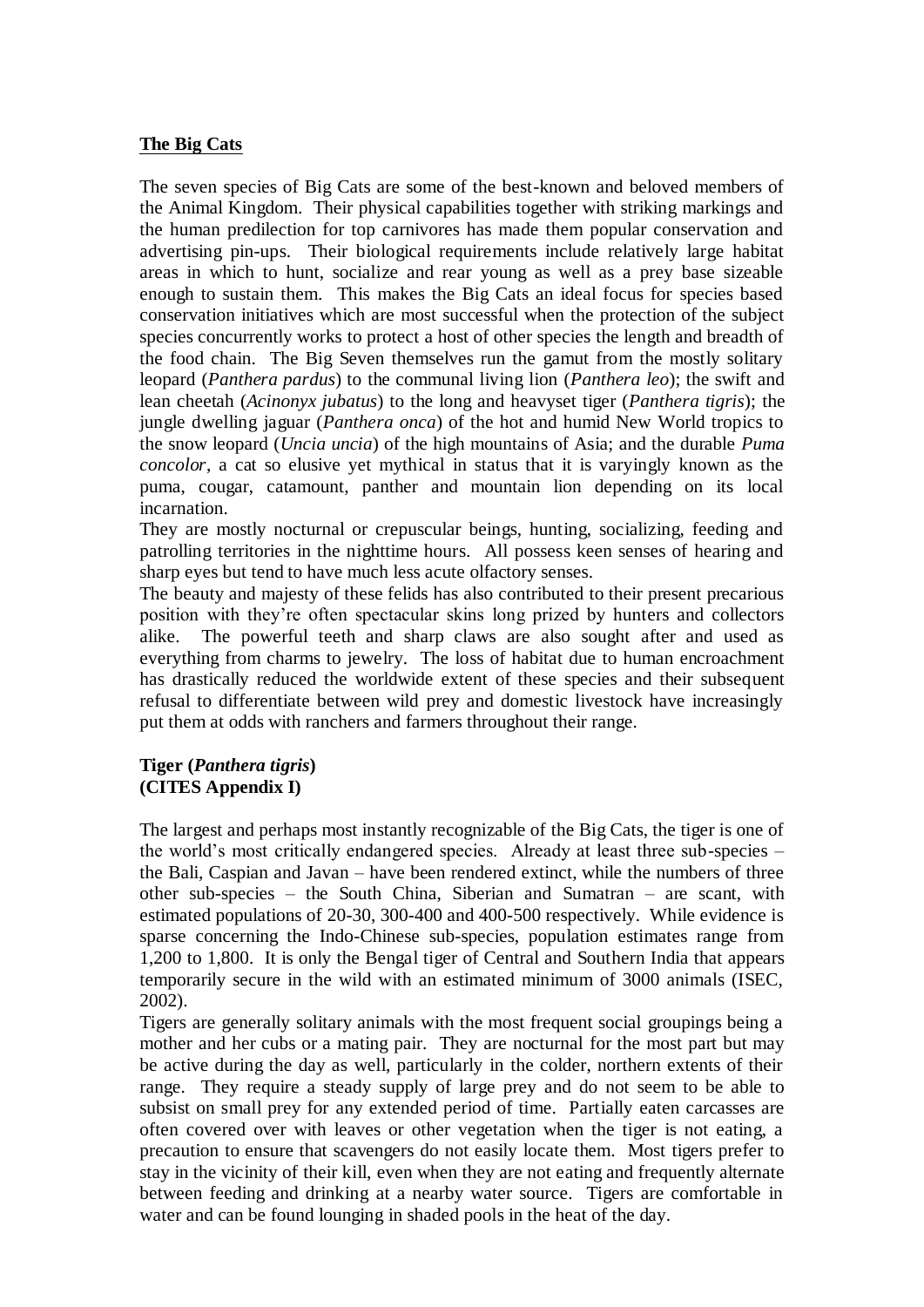#### **The Big Cats**

The seven species of Big Cats are some of the best-known and beloved members of the Animal Kingdom. Their physical capabilities together with striking markings and the human predilection for top carnivores has made them popular conservation and advertising pin-ups. Their biological requirements include relatively large habitat areas in which to hunt, socialize and rear young as well as a prey base sizeable enough to sustain them. This makes the Big Cats an ideal focus for species based conservation initiatives which are most successful when the protection of the subject species concurrently works to protect a host of other species the length and breadth of the food chain. The Big Seven themselves run the gamut from the mostly solitary leopard (*Panthera pardus*) to the communal living lion (*Panthera leo*); the swift and lean cheetah (*Acinonyx jubatus*) to the long and heavyset tiger (*Panthera tigris*); the jungle dwelling jaguar (*Panthera onca*) of the hot and humid New World tropics to the snow leopard (*Uncia uncia*) of the high mountains of Asia; and the durable *Puma concolor*, a cat so elusive yet mythical in status that it is varyingly known as the puma, cougar, catamount, panther and mountain lion depending on its local incarnation.

They are mostly nocturnal or crepuscular beings, hunting, socializing, feeding and patrolling territories in the nighttime hours. All possess keen senses of hearing and sharp eyes but tend to have much less acute olfactory senses.

The beauty and majesty of these felids has also contributed to their present precarious position with they're often spectacular skins long prized by hunters and collectors alike. The powerful teeth and sharp claws are also sought after and used as everything from charms to jewelry. The loss of habitat due to human encroachment has drastically reduced the worldwide extent of these species and their subsequent refusal to differentiate between wild prey and domestic livestock have increasingly put them at odds with ranchers and farmers throughout their range.

## **Tiger (***Panthera tigris***) (CITES Appendix I)**

The largest and perhaps most instantly recognizable of the Big Cats, the tiger is one of the world's most critically endangered species. Already at least three sub-species – the Bali, Caspian and Javan – have been rendered extinct, while the numbers of three other sub-species – the South China, Siberian and Sumatran – are scant, with estimated populations of 20-30, 300-400 and 400-500 respectively. While evidence is sparse concerning the Indo-Chinese sub-species, population estimates range from 1,200 to 1,800. It is only the Bengal tiger of Central and Southern India that appears temporarily secure in the wild with an estimated minimum of 3000 animals (ISEC, 2002).

Tigers are generally solitary animals with the most frequent social groupings being a mother and her cubs or a mating pair. They are nocturnal for the most part but may be active during the day as well, particularly in the colder, northern extents of their range. They require a steady supply of large prey and do not seem to be able to subsist on small prey for any extended period of time. Partially eaten carcasses are often covered over with leaves or other vegetation when the tiger is not eating, a precaution to ensure that scavengers do not easily locate them. Most tigers prefer to stay in the vicinity of their kill, even when they are not eating and frequently alternate between feeding and drinking at a nearby water source. Tigers are comfortable in water and can be found lounging in shaded pools in the heat of the day.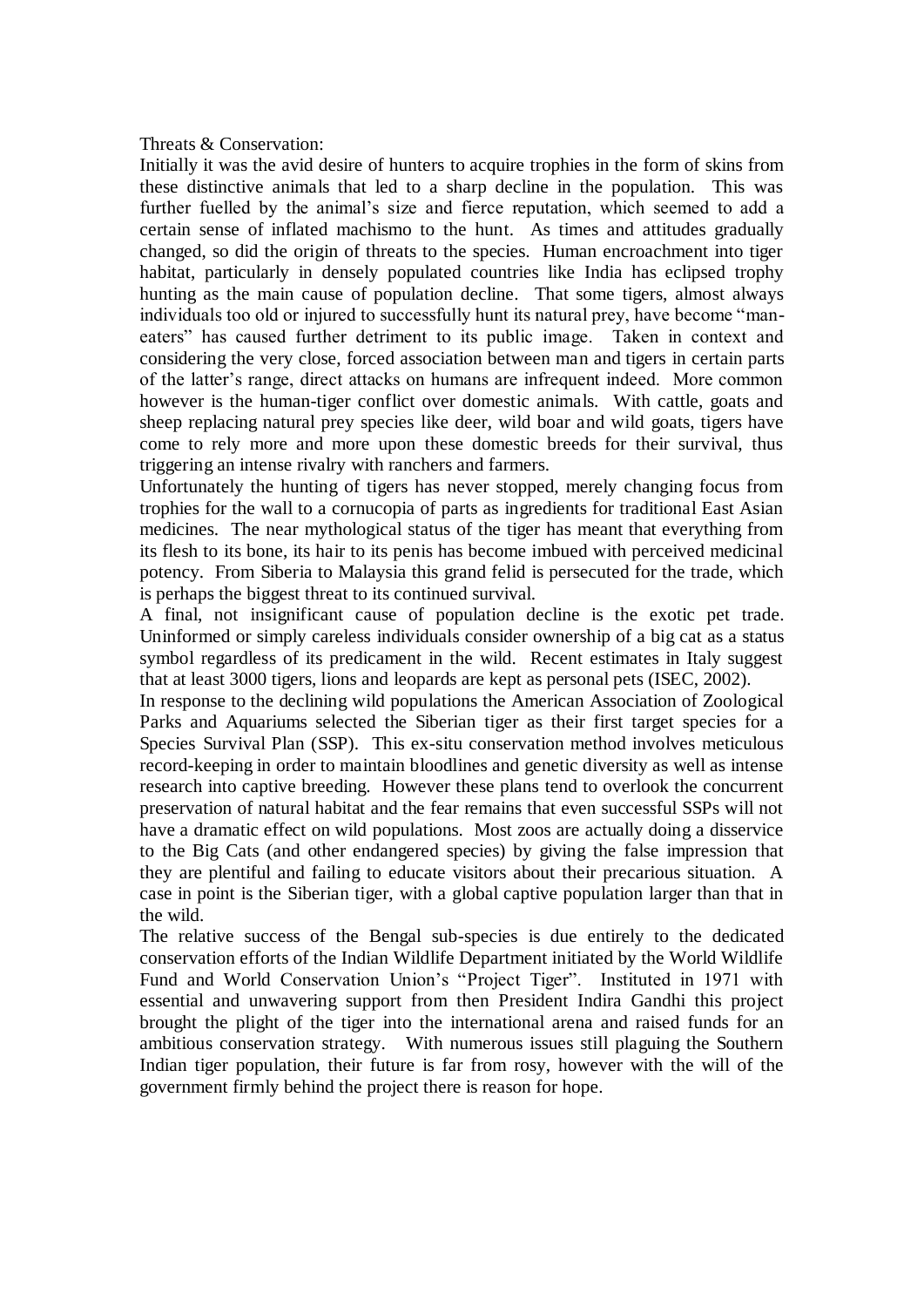Threats & Conservation:

Initially it was the avid desire of hunters to acquire trophies in the form of skins from these distinctive animals that led to a sharp decline in the population. This was further fuelled by the animal's size and fierce reputation, which seemed to add a certain sense of inflated machismo to the hunt. As times and attitudes gradually changed, so did the origin of threats to the species. Human encroachment into tiger habitat, particularly in densely populated countries like India has eclipsed trophy hunting as the main cause of population decline. That some tigers, almost always individuals too old or injured to successfully hunt its natural prey, have become "maneaters" has caused further detriment to its public image. Taken in context and considering the very close, forced association between man and tigers in certain parts of the latter's range, direct attacks on humans are infrequent indeed. More common however is the human-tiger conflict over domestic animals. With cattle, goats and sheep replacing natural prey species like deer, wild boar and wild goats, tigers have come to rely more and more upon these domestic breeds for their survival, thus triggering an intense rivalry with ranchers and farmers.

Unfortunately the hunting of tigers has never stopped, merely changing focus from trophies for the wall to a cornucopia of parts as ingredients for traditional East Asian medicines. The near mythological status of the tiger has meant that everything from its flesh to its bone, its hair to its penis has become imbued with perceived medicinal potency. From Siberia to Malaysia this grand felid is persecuted for the trade, which is perhaps the biggest threat to its continued survival.

A final, not insignificant cause of population decline is the exotic pet trade. Uninformed or simply careless individuals consider ownership of a big cat as a status symbol regardless of its predicament in the wild. Recent estimates in Italy suggest that at least 3000 tigers, lions and leopards are kept as personal pets (ISEC, 2002).

In response to the declining wild populations the American Association of Zoological Parks and Aquariums selected the Siberian tiger as their first target species for a Species Survival Plan (SSP). This ex-situ conservation method involves meticulous record-keeping in order to maintain bloodlines and genetic diversity as well as intense research into captive breeding. However these plans tend to overlook the concurrent preservation of natural habitat and the fear remains that even successful SSPs will not have a dramatic effect on wild populations. Most zoos are actually doing a disservice to the Big Cats (and other endangered species) by giving the false impression that they are plentiful and failing to educate visitors about their precarious situation. A case in point is the Siberian tiger, with a global captive population larger than that in the wild.

The relative success of the Bengal sub-species is due entirely to the dedicated conservation efforts of the Indian Wildlife Department initiated by the World Wildlife Fund and World Conservation Union's "Project Tiger". Instituted in 1971 with essential and unwavering support from then President Indira Gandhi this project brought the plight of the tiger into the international arena and raised funds for an ambitious conservation strategy. With numerous issues still plaguing the Southern Indian tiger population, their future is far from rosy, however with the will of the government firmly behind the project there is reason for hope.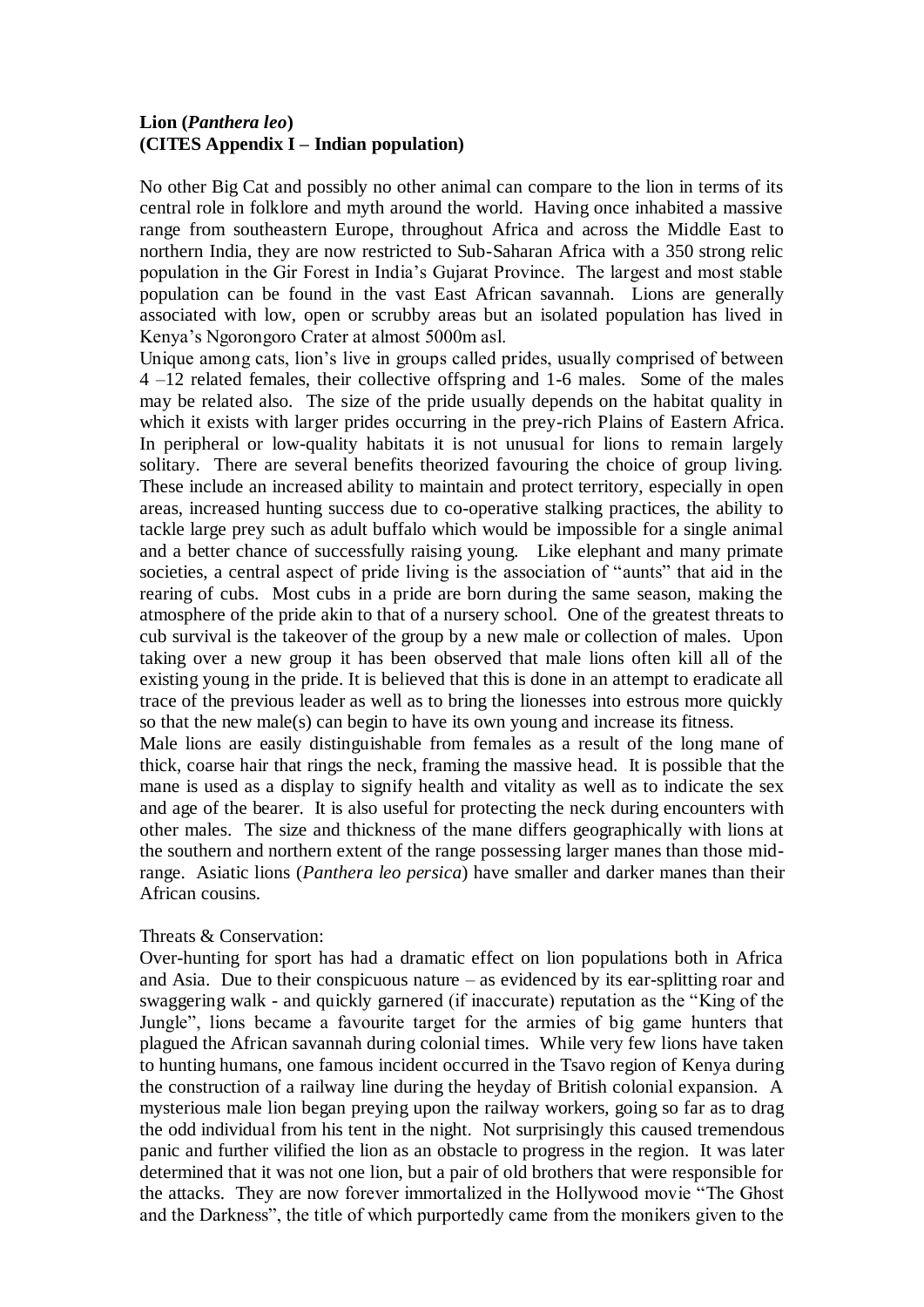## **Lion (***Panthera leo***) (CITES Appendix I – Indian population)**

No other Big Cat and possibly no other animal can compare to the lion in terms of its central role in folklore and myth around the world. Having once inhabited a massive range from southeastern Europe, throughout Africa and across the Middle East to northern India, they are now restricted to Sub-Saharan Africa with a 350 strong relic population in the Gir Forest in India's Gujarat Province. The largest and most stable population can be found in the vast East African savannah. Lions are generally associated with low, open or scrubby areas but an isolated population has lived in Kenya's Ngorongoro Crater at almost 5000m asl.

Unique among cats, lion's live in groups called prides, usually comprised of between 4 –12 related females, their collective offspring and 1-6 males. Some of the males may be related also. The size of the pride usually depends on the habitat quality in which it exists with larger prides occurring in the prey-rich Plains of Eastern Africa. In peripheral or low-quality habitats it is not unusual for lions to remain largely solitary. There are several benefits theorized favouring the choice of group living. These include an increased ability to maintain and protect territory, especially in open areas, increased hunting success due to co-operative stalking practices, the ability to tackle large prey such as adult buffalo which would be impossible for a single animal and a better chance of successfully raising young. Like elephant and many primate societies, a central aspect of pride living is the association of "aunts" that aid in the rearing of cubs. Most cubs in a pride are born during the same season, making the atmosphere of the pride akin to that of a nursery school. One of the greatest threats to cub survival is the takeover of the group by a new male or collection of males. Upon taking over a new group it has been observed that male lions often kill all of the existing young in the pride. It is believed that this is done in an attempt to eradicate all trace of the previous leader as well as to bring the lionesses into estrous more quickly so that the new male(s) can begin to have its own young and increase its fitness.

Male lions are easily distinguishable from females as a result of the long mane of thick, coarse hair that rings the neck, framing the massive head. It is possible that the mane is used as a display to signify health and vitality as well as to indicate the sex and age of the bearer. It is also useful for protecting the neck during encounters with other males. The size and thickness of the mane differs geographically with lions at the southern and northern extent of the range possessing larger manes than those midrange. Asiatic lions (*Panthera leo persica*) have smaller and darker manes than their African cousins.

#### Threats & Conservation:

Over-hunting for sport has had a dramatic effect on lion populations both in Africa and Asia. Due to their conspicuous nature – as evidenced by its ear-splitting roar and swaggering walk - and quickly garnered (if inaccurate) reputation as the "King of the Jungle", lions became a favourite target for the armies of big game hunters that plagued the African savannah during colonial times. While very few lions have taken to hunting humans, one famous incident occurred in the Tsavo region of Kenya during the construction of a railway line during the heyday of British colonial expansion. A mysterious male lion began preying upon the railway workers, going so far as to drag the odd individual from his tent in the night. Not surprisingly this caused tremendous panic and further vilified the lion as an obstacle to progress in the region. It was later determined that it was not one lion, but a pair of old brothers that were responsible for the attacks. They are now forever immortalized in the Hollywood movie "The Ghost and the Darkness", the title of which purportedly came from the monikers given to the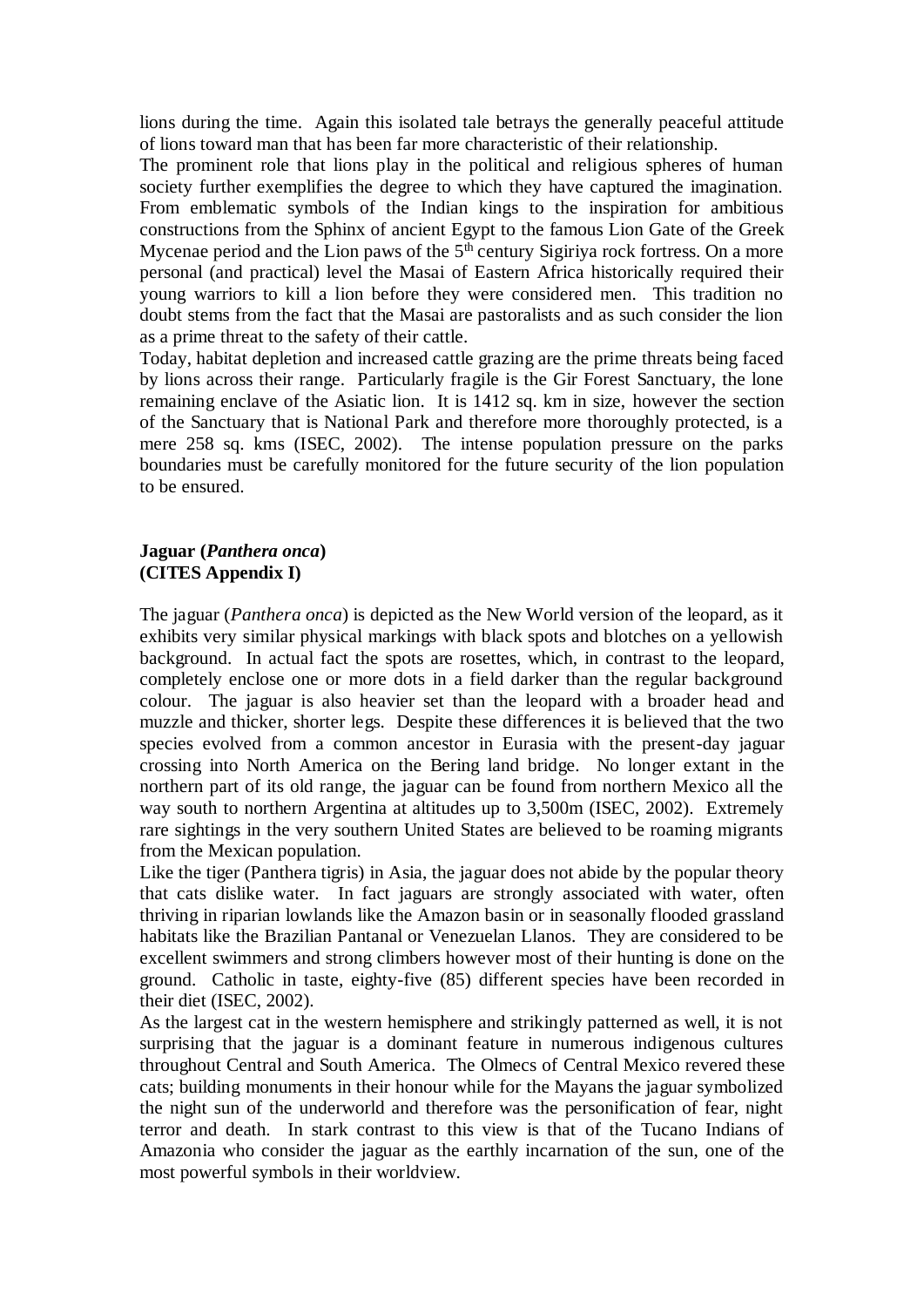lions during the time. Again this isolated tale betrays the generally peaceful attitude of lions toward man that has been far more characteristic of their relationship.

The prominent role that lions play in the political and religious spheres of human society further exemplifies the degree to which they have captured the imagination. From emblematic symbols of the Indian kings to the inspiration for ambitious constructions from the Sphinx of ancient Egypt to the famous Lion Gate of the Greek Mycenae period and the Lion paws of the  $5<sup>th</sup>$  century Sigiriya rock fortress. On a more personal (and practical) level the Masai of Eastern Africa historically required their young warriors to kill a lion before they were considered men. This tradition no doubt stems from the fact that the Masai are pastoralists and as such consider the lion as a prime threat to the safety of their cattle.

Today, habitat depletion and increased cattle grazing are the prime threats being faced by lions across their range. Particularly fragile is the Gir Forest Sanctuary, the lone remaining enclave of the Asiatic lion. It is 1412 sq. km in size, however the section of the Sanctuary that is National Park and therefore more thoroughly protected, is a mere 258 sq. kms (ISEC, 2002). The intense population pressure on the parks boundaries must be carefully monitored for the future security of the lion population to be ensured.

## **Jaguar (***Panthera onca***) (CITES Appendix I)**

The jaguar (*Panthera onca*) is depicted as the New World version of the leopard, as it exhibits very similar physical markings with black spots and blotches on a yellowish background. In actual fact the spots are rosettes, which, in contrast to the leopard, completely enclose one or more dots in a field darker than the regular background colour. The jaguar is also heavier set than the leopard with a broader head and muzzle and thicker, shorter legs. Despite these differences it is believed that the two species evolved from a common ancestor in Eurasia with the present-day jaguar crossing into North America on the Bering land bridge. No longer extant in the northern part of its old range, the jaguar can be found from northern Mexico all the way south to northern Argentina at altitudes up to 3,500m (ISEC, 2002). Extremely rare sightings in the very southern United States are believed to be roaming migrants from the Mexican population.

Like the tiger (Panthera tigris) in Asia, the jaguar does not abide by the popular theory that cats dislike water. In fact jaguars are strongly associated with water, often thriving in riparian lowlands like the Amazon basin or in seasonally flooded grassland habitats like the Brazilian Pantanal or Venezuelan Llanos. They are considered to be excellent swimmers and strong climbers however most of their hunting is done on the ground. Catholic in taste, eighty-five (85) different species have been recorded in their diet (ISEC, 2002).

As the largest cat in the western hemisphere and strikingly patterned as well, it is not surprising that the jaguar is a dominant feature in numerous indigenous cultures throughout Central and South America. The Olmecs of Central Mexico revered these cats; building monuments in their honour while for the Mayans the jaguar symbolized the night sun of the underworld and therefore was the personification of fear, night terror and death. In stark contrast to this view is that of the Tucano Indians of Amazonia who consider the jaguar as the earthly incarnation of the sun, one of the most powerful symbols in their worldview.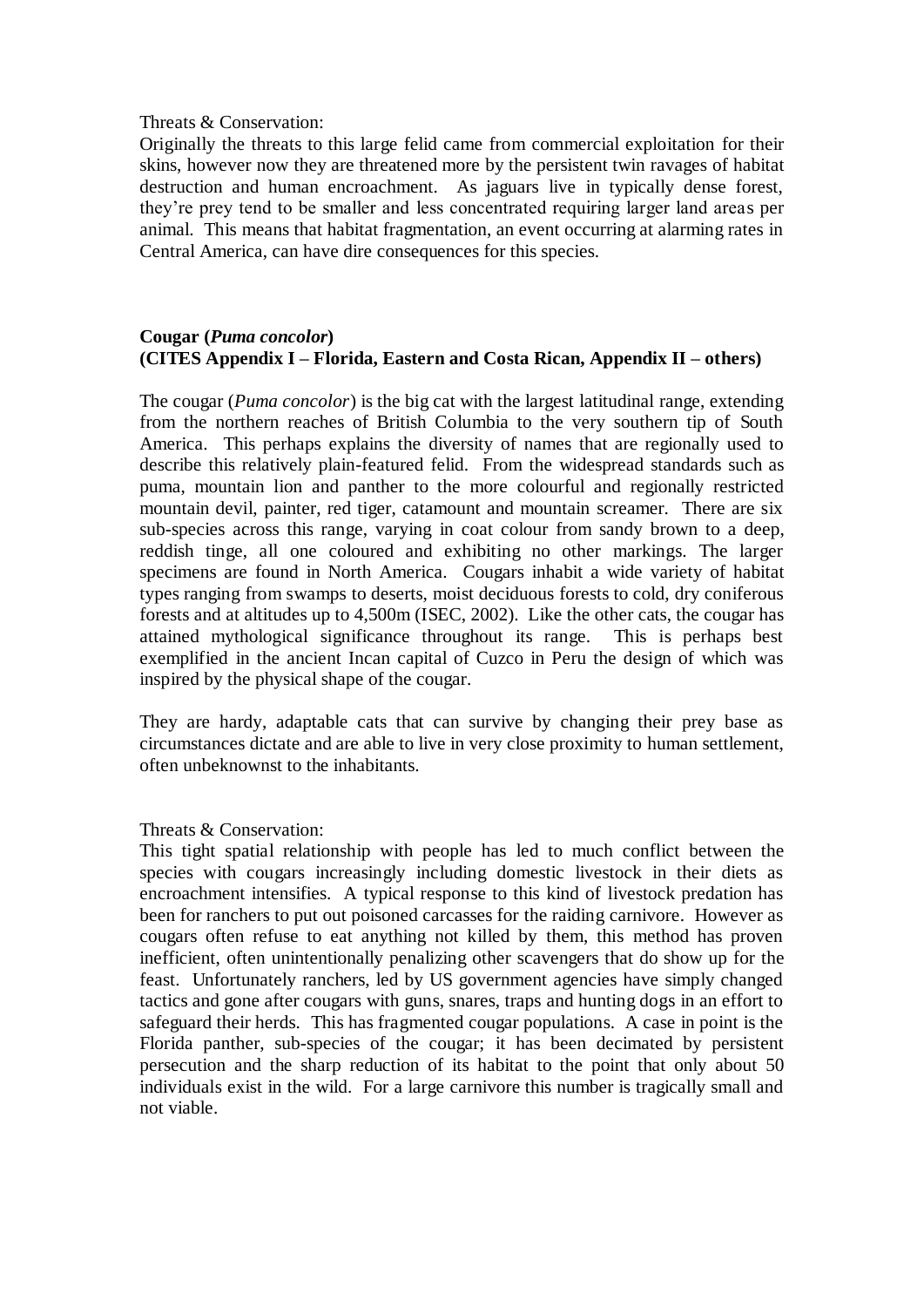#### Threats & Conservation:

Originally the threats to this large felid came from commercial exploitation for their skins, however now they are threatened more by the persistent twin ravages of habitat destruction and human encroachment. As jaguars live in typically dense forest, they're prey tend to be smaller and less concentrated requiring larger land areas per animal. This means that habitat fragmentation, an event occurring at alarming rates in Central America, can have dire consequences for this species.

## **Cougar (***Puma concolor***) (CITES Appendix I – Florida, Eastern and Costa Rican, Appendix II – others)**

The cougar (*Puma concolor*) is the big cat with the largest latitudinal range, extending from the northern reaches of British Columbia to the very southern tip of South America. This perhaps explains the diversity of names that are regionally used to describe this relatively plain-featured felid. From the widespread standards such as puma, mountain lion and panther to the more colourful and regionally restricted mountain devil, painter, red tiger, catamount and mountain screamer. There are six sub-species across this range, varying in coat colour from sandy brown to a deep, reddish tinge, all one coloured and exhibiting no other markings. The larger specimens are found in North America. Cougars inhabit a wide variety of habitat types ranging from swamps to deserts, moist deciduous forests to cold, dry coniferous forests and at altitudes up to 4,500m (ISEC, 2002). Like the other cats, the cougar has attained mythological significance throughout its range. This is perhaps best exemplified in the ancient Incan capital of Cuzco in Peru the design of which was inspired by the physical shape of the cougar.

They are hardy, adaptable cats that can survive by changing their prey base as circumstances dictate and are able to live in very close proximity to human settlement, often unbeknownst to the inhabitants.

#### Threats & Conservation:

This tight spatial relationship with people has led to much conflict between the species with cougars increasingly including domestic livestock in their diets as encroachment intensifies. A typical response to this kind of livestock predation has been for ranchers to put out poisoned carcasses for the raiding carnivore. However as cougars often refuse to eat anything not killed by them, this method has proven inefficient, often unintentionally penalizing other scavengers that do show up for the feast. Unfortunately ranchers, led by US government agencies have simply changed tactics and gone after cougars with guns, snares, traps and hunting dogs in an effort to safeguard their herds. This has fragmented cougar populations. A case in point is the Florida panther, sub-species of the cougar; it has been decimated by persistent persecution and the sharp reduction of its habitat to the point that only about 50 individuals exist in the wild. For a large carnivore this number is tragically small and not viable.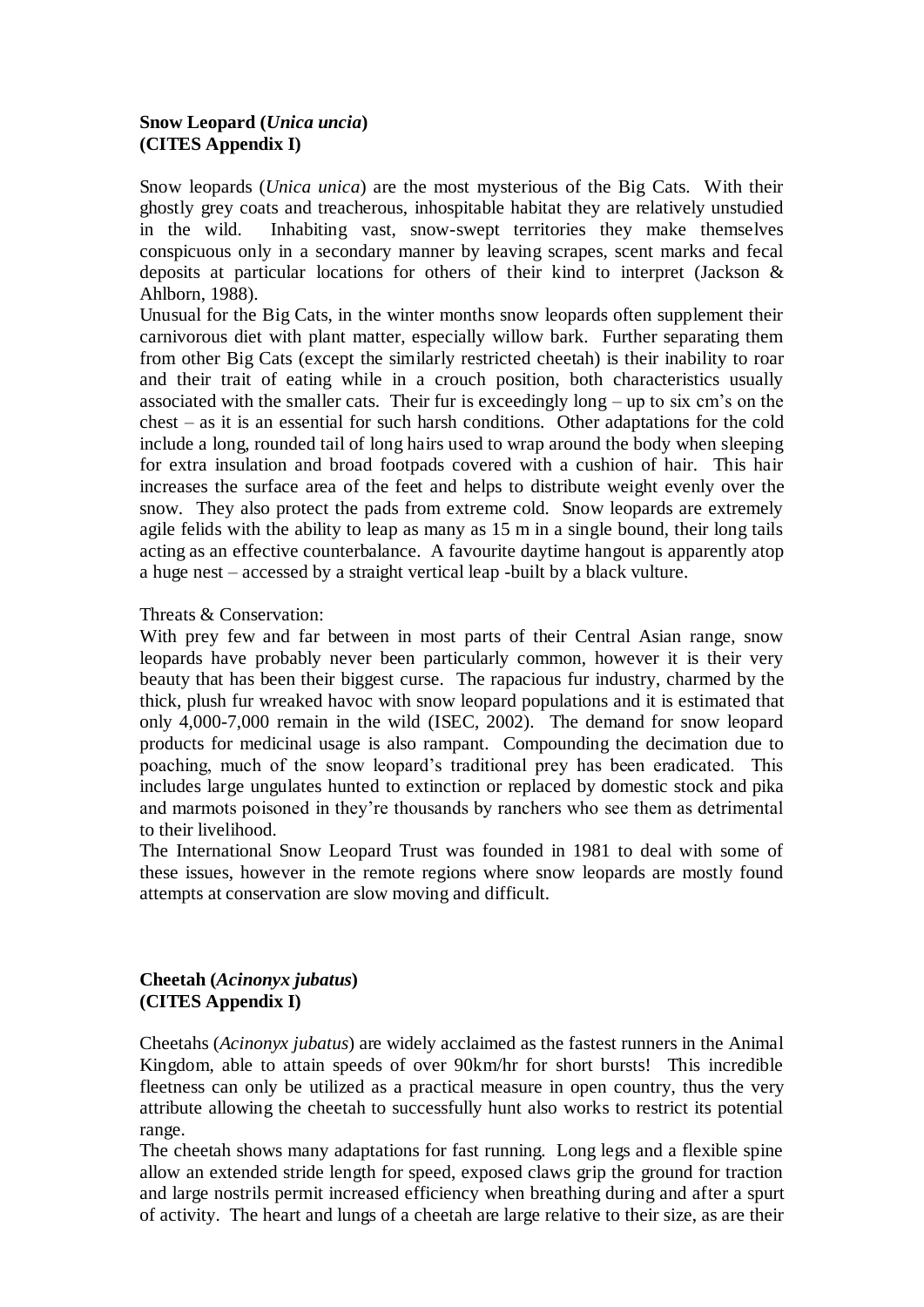## **Snow Leopard (***Unica uncia***) (CITES Appendix I)**

Snow leopards (*Unica unica*) are the most mysterious of the Big Cats. With their ghostly grey coats and treacherous, inhospitable habitat they are relatively unstudied in the wild. Inhabiting vast, snow-swept territories they make themselves conspicuous only in a secondary manner by leaving scrapes, scent marks and fecal deposits at particular locations for others of their kind to interpret (Jackson & Ahlborn, 1988).

Unusual for the Big Cats, in the winter months snow leopards often supplement their carnivorous diet with plant matter, especially willow bark. Further separating them from other Big Cats (except the similarly restricted cheetah) is their inability to roar and their trait of eating while in a crouch position, both characteristics usually associated with the smaller cats. Their fur is exceedingly long – up to six cm's on the chest – as it is an essential for such harsh conditions. Other adaptations for the cold include a long, rounded tail of long hairs used to wrap around the body when sleeping for extra insulation and broad footpads covered with a cushion of hair. This hair increases the surface area of the feet and helps to distribute weight evenly over the snow. They also protect the pads from extreme cold. Snow leopards are extremely agile felids with the ability to leap as many as 15 m in a single bound, their long tails acting as an effective counterbalance. A favourite daytime hangout is apparently atop a huge nest – accessed by a straight vertical leap -built by a black vulture.

Threats & Conservation:

With prey few and far between in most parts of their Central Asian range, snow leopards have probably never been particularly common, however it is their very beauty that has been their biggest curse. The rapacious fur industry, charmed by the thick, plush fur wreaked havoc with snow leopard populations and it is estimated that only 4,000-7,000 remain in the wild (ISEC, 2002). The demand for snow leopard products for medicinal usage is also rampant. Compounding the decimation due to poaching, much of the snow leopard's traditional prey has been eradicated. This includes large ungulates hunted to extinction or replaced by domestic stock and pika and marmots poisoned in they're thousands by ranchers who see them as detrimental to their livelihood.

The International Snow Leopard Trust was founded in 1981 to deal with some of these issues, however in the remote regions where snow leopards are mostly found attempts at conservation are slow moving and difficult.

## **Cheetah (***Acinonyx jubatus***) (CITES Appendix I)**

Cheetahs (*Acinonyx jubatus*) are widely acclaimed as the fastest runners in the Animal Kingdom, able to attain speeds of over 90km/hr for short bursts! This incredible fleetness can only be utilized as a practical measure in open country, thus the very attribute allowing the cheetah to successfully hunt also works to restrict its potential range.

The cheetah shows many adaptations for fast running. Long legs and a flexible spine allow an extended stride length for speed, exposed claws grip the ground for traction and large nostrils permit increased efficiency when breathing during and after a spurt of activity. The heart and lungs of a cheetah are large relative to their size, as are their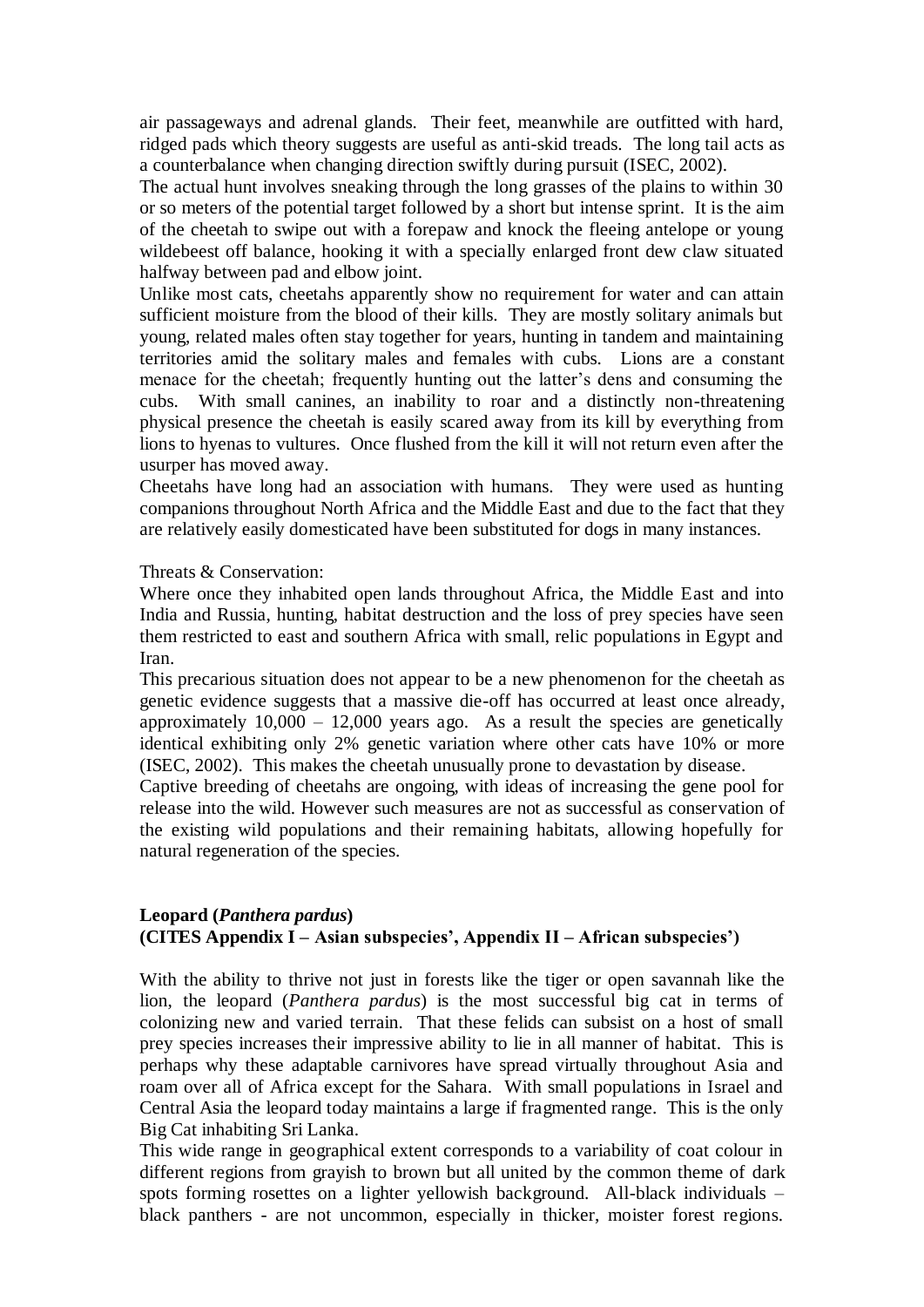air passageways and adrenal glands. Their feet, meanwhile are outfitted with hard, ridged pads which theory suggests are useful as anti-skid treads. The long tail acts as a counterbalance when changing direction swiftly during pursuit (ISEC, 2002).

The actual hunt involves sneaking through the long grasses of the plains to within 30 or so meters of the potential target followed by a short but intense sprint. It is the aim of the cheetah to swipe out with a forepaw and knock the fleeing antelope or young wildebeest off balance, hooking it with a specially enlarged front dew claw situated halfway between pad and elbow joint.

Unlike most cats, cheetahs apparently show no requirement for water and can attain sufficient moisture from the blood of their kills. They are mostly solitary animals but young, related males often stay together for years, hunting in tandem and maintaining territories amid the solitary males and females with cubs. Lions are a constant menace for the cheetah; frequently hunting out the latter's dens and consuming the cubs. With small canines, an inability to roar and a distinctly non-threatening physical presence the cheetah is easily scared away from its kill by everything from lions to hyenas to vultures. Once flushed from the kill it will not return even after the usurper has moved away.

Cheetahs have long had an association with humans. They were used as hunting companions throughout North Africa and the Middle East and due to the fact that they are relatively easily domesticated have been substituted for dogs in many instances.

Threats & Conservation:

Where once they inhabited open lands throughout Africa, the Middle East and into India and Russia, hunting, habitat destruction and the loss of prey species have seen them restricted to east and southern Africa with small, relic populations in Egypt and Iran.

This precarious situation does not appear to be a new phenomenon for the cheetah as genetic evidence suggests that a massive die-off has occurred at least once already, approximately  $10,000 - 12,000$  years ago. As a result the species are genetically identical exhibiting only 2% genetic variation where other cats have 10% or more (ISEC, 2002). This makes the cheetah unusually prone to devastation by disease.

Captive breeding of cheetahs are ongoing, with ideas of increasing the gene pool for release into the wild. However such measures are not as successful as conservation of the existing wild populations and their remaining habitats, allowing hopefully for natural regeneration of the species.

## **Leopard (***Panthera pardus***) (CITES Appendix I – Asian subspecies', Appendix II – African subspecies')**

With the ability to thrive not just in forests like the tiger or open savannah like the lion, the leopard (*Panthera pardus*) is the most successful big cat in terms of colonizing new and varied terrain. That these felids can subsist on a host of small prey species increases their impressive ability to lie in all manner of habitat. This is perhaps why these adaptable carnivores have spread virtually throughout Asia and roam over all of Africa except for the Sahara. With small populations in Israel and Central Asia the leopard today maintains a large if fragmented range. This is the only Big Cat inhabiting Sri Lanka.

This wide range in geographical extent corresponds to a variability of coat colour in different regions from grayish to brown but all united by the common theme of dark spots forming rosettes on a lighter yellowish background. All-black individuals – black panthers - are not uncommon, especially in thicker, moister forest regions.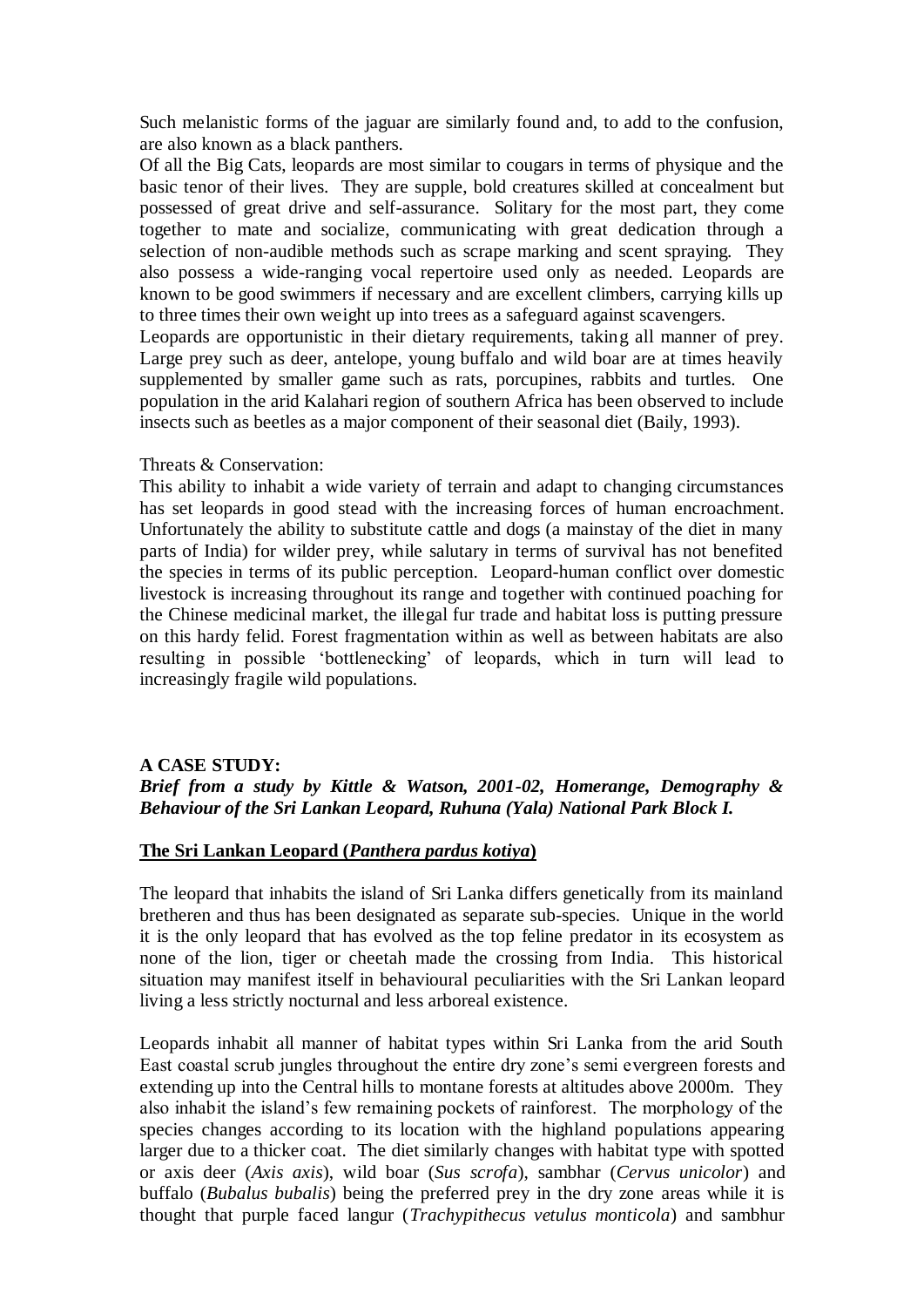Such melanistic forms of the jaguar are similarly found and, to add to the confusion, are also known as a black panthers.

Of all the Big Cats, leopards are most similar to cougars in terms of physique and the basic tenor of their lives. They are supple, bold creatures skilled at concealment but possessed of great drive and self-assurance. Solitary for the most part, they come together to mate and socialize, communicating with great dedication through a selection of non-audible methods such as scrape marking and scent spraying. They also possess a wide-ranging vocal repertoire used only as needed. Leopards are known to be good swimmers if necessary and are excellent climbers, carrying kills up to three times their own weight up into trees as a safeguard against scavengers.

Leopards are opportunistic in their dietary requirements, taking all manner of prey. Large prey such as deer, antelope, young buffalo and wild boar are at times heavily supplemented by smaller game such as rats, porcupines, rabbits and turtles. One population in the arid Kalahari region of southern Africa has been observed to include insects such as beetles as a major component of their seasonal diet (Baily, 1993).

#### Threats & Conservation:

This ability to inhabit a wide variety of terrain and adapt to changing circumstances has set leopards in good stead with the increasing forces of human encroachment. Unfortunately the ability to substitute cattle and dogs (a mainstay of the diet in many parts of India) for wilder prey, while salutary in terms of survival has not benefited the species in terms of its public perception. Leopard-human conflict over domestic livestock is increasing throughout its range and together with continued poaching for the Chinese medicinal market, the illegal fur trade and habitat loss is putting pressure on this hardy felid. Forest fragmentation within as well as between habitats are also resulting in possible 'bottlenecking' of leopards, which in turn will lead to increasingly fragile wild populations.

#### **A CASE STUDY:**

## *Brief from a study by Kittle & Watson, 2001-02, Homerange, Demography & Behaviour of the Sri Lankan Leopard, Ruhuna (Yala) National Park Block I.*

#### **The Sri Lankan Leopard (***Panthera pardus kotiya***)**

The leopard that inhabits the island of Sri Lanka differs genetically from its mainland bretheren and thus has been designated as separate sub-species. Unique in the world it is the only leopard that has evolved as the top feline predator in its ecosystem as none of the lion, tiger or cheetah made the crossing from India. This historical situation may manifest itself in behavioural peculiarities with the Sri Lankan leopard living a less strictly nocturnal and less arboreal existence.

Leopards inhabit all manner of habitat types within Sri Lanka from the arid South East coastal scrub jungles throughout the entire dry zone's semi evergreen forests and extending up into the Central hills to montane forests at altitudes above 2000m. They also inhabit the island's few remaining pockets of rainforest. The morphology of the species changes according to its location with the highland populations appearing larger due to a thicker coat. The diet similarly changes with habitat type with spotted or axis deer (*Axis axis*), wild boar (*Sus scrofa*), sambhar (*Cervus unicolor*) and buffalo (*Bubalus bubalis*) being the preferred prey in the dry zone areas while it is thought that purple faced langur (*Trachypithecus vetulus monticola*) and sambhur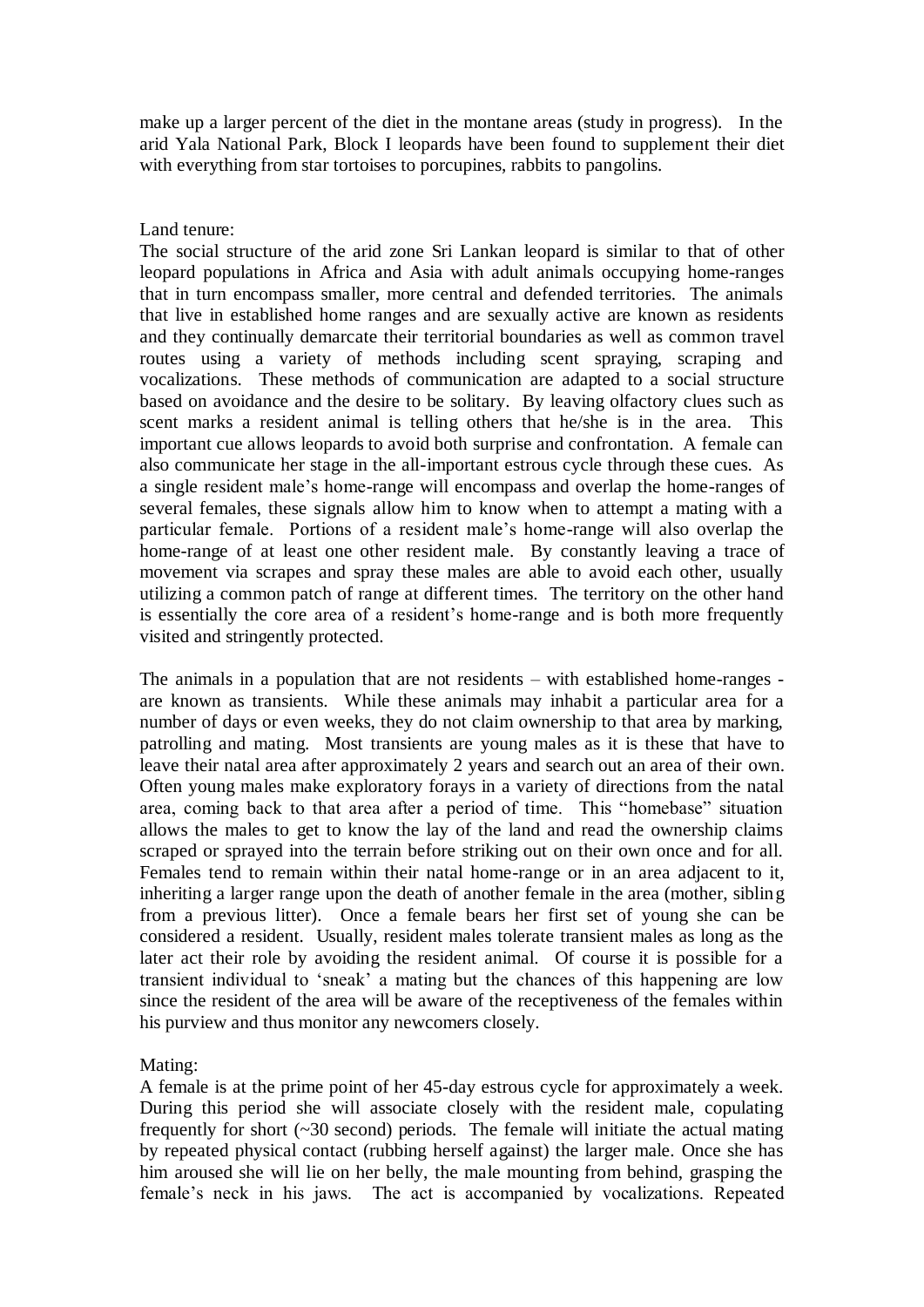make up a larger percent of the diet in the montane areas (study in progress). In the arid Yala National Park, Block I leopards have been found to supplement their diet with everything from star tortoises to porcupines, rabbits to pangolins.

#### Land tenure:

The social structure of the arid zone Sri Lankan leopard is similar to that of other leopard populations in Africa and Asia with adult animals occupying home-ranges that in turn encompass smaller, more central and defended territories. The animals that live in established home ranges and are sexually active are known as residents and they continually demarcate their territorial boundaries as well as common travel routes using a variety of methods including scent spraying, scraping and vocalizations. These methods of communication are adapted to a social structure based on avoidance and the desire to be solitary. By leaving olfactory clues such as scent marks a resident animal is telling others that he/she is in the area. This important cue allows leopards to avoid both surprise and confrontation. A female can also communicate her stage in the all-important estrous cycle through these cues. As a single resident male's home-range will encompass and overlap the home-ranges of several females, these signals allow him to know when to attempt a mating with a particular female. Portions of a resident male's home-range will also overlap the home-range of at least one other resident male. By constantly leaving a trace of movement via scrapes and spray these males are able to avoid each other, usually utilizing a common patch of range at different times. The territory on the other hand is essentially the core area of a resident's home-range and is both more frequently visited and stringently protected.

The animals in a population that are not residents – with established home-ranges are known as transients. While these animals may inhabit a particular area for a number of days or even weeks, they do not claim ownership to that area by marking, patrolling and mating. Most transients are young males as it is these that have to leave their natal area after approximately 2 years and search out an area of their own. Often young males make exploratory forays in a variety of directions from the natal area, coming back to that area after a period of time. This "homebase" situation allows the males to get to know the lay of the land and read the ownership claims scraped or sprayed into the terrain before striking out on their own once and for all. Females tend to remain within their natal home-range or in an area adjacent to it, inheriting a larger range upon the death of another female in the area (mother, sibling from a previous litter). Once a female bears her first set of young she can be considered a resident. Usually, resident males tolerate transient males as long as the later act their role by avoiding the resident animal. Of course it is possible for a transient individual to 'sneak' a mating but the chances of this happening are low since the resident of the area will be aware of the receptiveness of the females within his purview and thus monitor any newcomers closely.

#### Mating:

A female is at the prime point of her 45-day estrous cycle for approximately a week. During this period she will associate closely with the resident male, copulating frequently for short  $(\sim 30 \text{ second})$  periods. The female will initiate the actual mating by repeated physical contact (rubbing herself against) the larger male. Once she has him aroused she will lie on her belly, the male mounting from behind, grasping the female's neck in his jaws. The act is accompanied by vocalizations. Repeated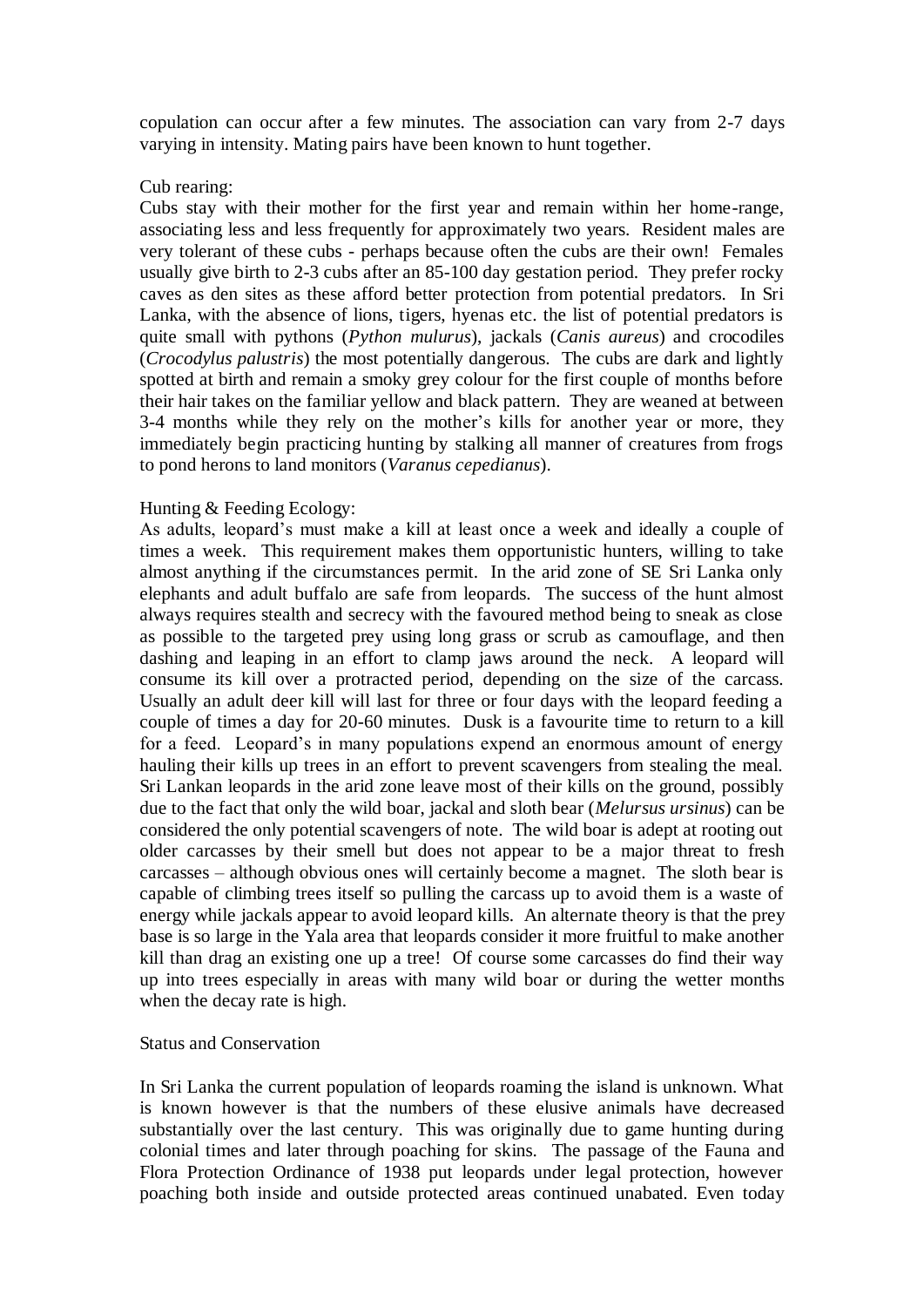copulation can occur after a few minutes. The association can vary from 2-7 days varying in intensity. Mating pairs have been known to hunt together.

#### Cub rearing:

Cubs stay with their mother for the first year and remain within her home-range, associating less and less frequently for approximately two years. Resident males are very tolerant of these cubs - perhaps because often the cubs are their own! Females usually give birth to 2-3 cubs after an 85-100 day gestation period. They prefer rocky caves as den sites as these afford better protection from potential predators. In Sri Lanka, with the absence of lions, tigers, hyenas etc. the list of potential predators is quite small with pythons (*Python mulurus*), jackals (*Canis aureus*) and crocodiles (*Crocodylus palustris*) the most potentially dangerous. The cubs are dark and lightly spotted at birth and remain a smoky grey colour for the first couple of months before their hair takes on the familiar yellow and black pattern. They are weaned at between 3-4 months while they rely on the mother's kills for another year or more, they immediately begin practicing hunting by stalking all manner of creatures from frogs to pond herons to land monitors (*Varanus cepedianus*).

#### Hunting & Feeding Ecology:

As adults, leopard's must make a kill at least once a week and ideally a couple of times a week. This requirement makes them opportunistic hunters, willing to take almost anything if the circumstances permit. In the arid zone of SE Sri Lanka only elephants and adult buffalo are safe from leopards. The success of the hunt almost always requires stealth and secrecy with the favoured method being to sneak as close as possible to the targeted prey using long grass or scrub as camouflage, and then dashing and leaping in an effort to clamp jaws around the neck. A leopard will consume its kill over a protracted period, depending on the size of the carcass. Usually an adult deer kill will last for three or four days with the leopard feeding a couple of times a day for 20-60 minutes. Dusk is a favourite time to return to a kill for a feed. Leopard's in many populations expend an enormous amount of energy hauling their kills up trees in an effort to prevent scavengers from stealing the meal. Sri Lankan leopards in the arid zone leave most of their kills on the ground, possibly due to the fact that only the wild boar, jackal and sloth bear (*Melursus ursinus*) can be considered the only potential scavengers of note. The wild boar is adept at rooting out older carcasses by their smell but does not appear to be a major threat to fresh carcasses – although obvious ones will certainly become a magnet. The sloth bear is capable of climbing trees itself so pulling the carcass up to avoid them is a waste of energy while jackals appear to avoid leopard kills. An alternate theory is that the prey base is so large in the Yala area that leopards consider it more fruitful to make another kill than drag an existing one up a tree! Of course some carcasses do find their way up into trees especially in areas with many wild boar or during the wetter months when the decay rate is high.

### Status and Conservation

In Sri Lanka the current population of leopards roaming the island is unknown. What is known however is that the numbers of these elusive animals have decreased substantially over the last century. This was originally due to game hunting during colonial times and later through poaching for skins. The passage of the Fauna and Flora Protection Ordinance of 1938 put leopards under legal protection, however poaching both inside and outside protected areas continued unabated. Even today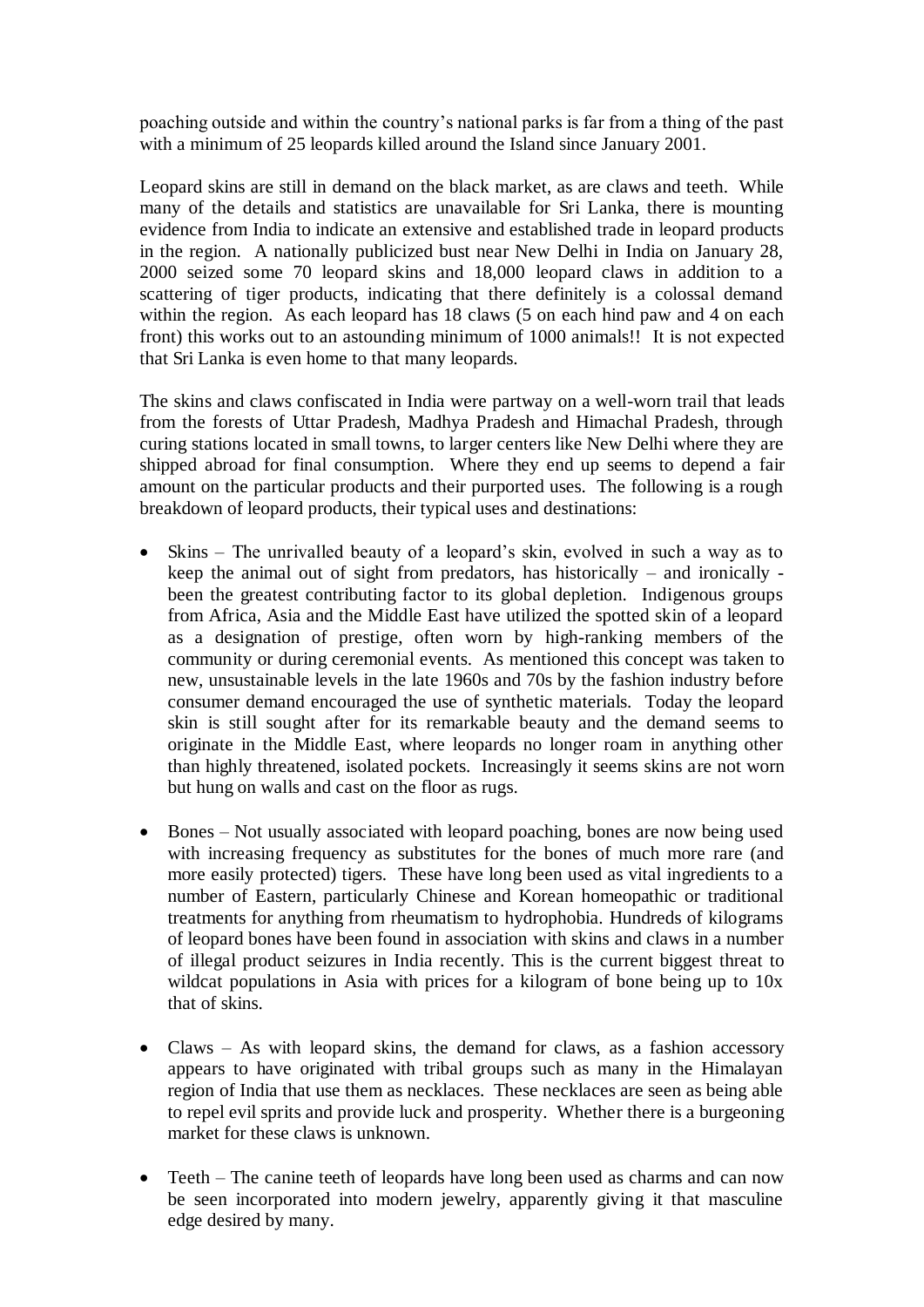poaching outside and within the country's national parks is far from a thing of the past with a minimum of 25 leopards killed around the Island since January 2001.

Leopard skins are still in demand on the black market, as are claws and teeth. While many of the details and statistics are unavailable for Sri Lanka, there is mounting evidence from India to indicate an extensive and established trade in leopard products in the region. A nationally publicized bust near New Delhi in India on January 28, 2000 seized some 70 leopard skins and 18,000 leopard claws in addition to a scattering of tiger products, indicating that there definitely is a colossal demand within the region. As each leopard has 18 claws (5 on each hind paw and 4 on each front) this works out to an astounding minimum of 1000 animals!! It is not expected that Sri Lanka is even home to that many leopards.

The skins and claws confiscated in India were partway on a well-worn trail that leads from the forests of Uttar Pradesh, Madhya Pradesh and Himachal Pradesh, through curing stations located in small towns, to larger centers like New Delhi where they are shipped abroad for final consumption. Where they end up seems to depend a fair amount on the particular products and their purported uses. The following is a rough breakdown of leopard products, their typical uses and destinations:

- Skins The unrivalled beauty of a leopard's skin, evolved in such a way as to keep the animal out of sight from predators, has historically – and ironically been the greatest contributing factor to its global depletion. Indigenous groups from Africa, Asia and the Middle East have utilized the spotted skin of a leopard as a designation of prestige, often worn by high-ranking members of the community or during ceremonial events. As mentioned this concept was taken to new, unsustainable levels in the late 1960s and 70s by the fashion industry before consumer demand encouraged the use of synthetic materials. Today the leopard skin is still sought after for its remarkable beauty and the demand seems to originate in the Middle East, where leopards no longer roam in anything other than highly threatened, isolated pockets. Increasingly it seems skins are not worn but hung on walls and cast on the floor as rugs.
- Bones Not usually associated with leopard poaching, bones are now being used with increasing frequency as substitutes for the bones of much more rare (and more easily protected) tigers. These have long been used as vital ingredients to a number of Eastern, particularly Chinese and Korean homeopathic or traditional treatments for anything from rheumatism to hydrophobia. Hundreds of kilograms of leopard bones have been found in association with skins and claws in a number of illegal product seizures in India recently. This is the current biggest threat to wildcat populations in Asia with prices for a kilogram of bone being up to 10x that of skins.
- Claws As with leopard skins, the demand for claws, as a fashion accessory appears to have originated with tribal groups such as many in the Himalayan region of India that use them as necklaces. These necklaces are seen as being able to repel evil sprits and provide luck and prosperity. Whether there is a burgeoning market for these claws is unknown.
- Teeth The canine teeth of leopards have long been used as charms and can now be seen incorporated into modern jewelry, apparently giving it that masculine edge desired by many.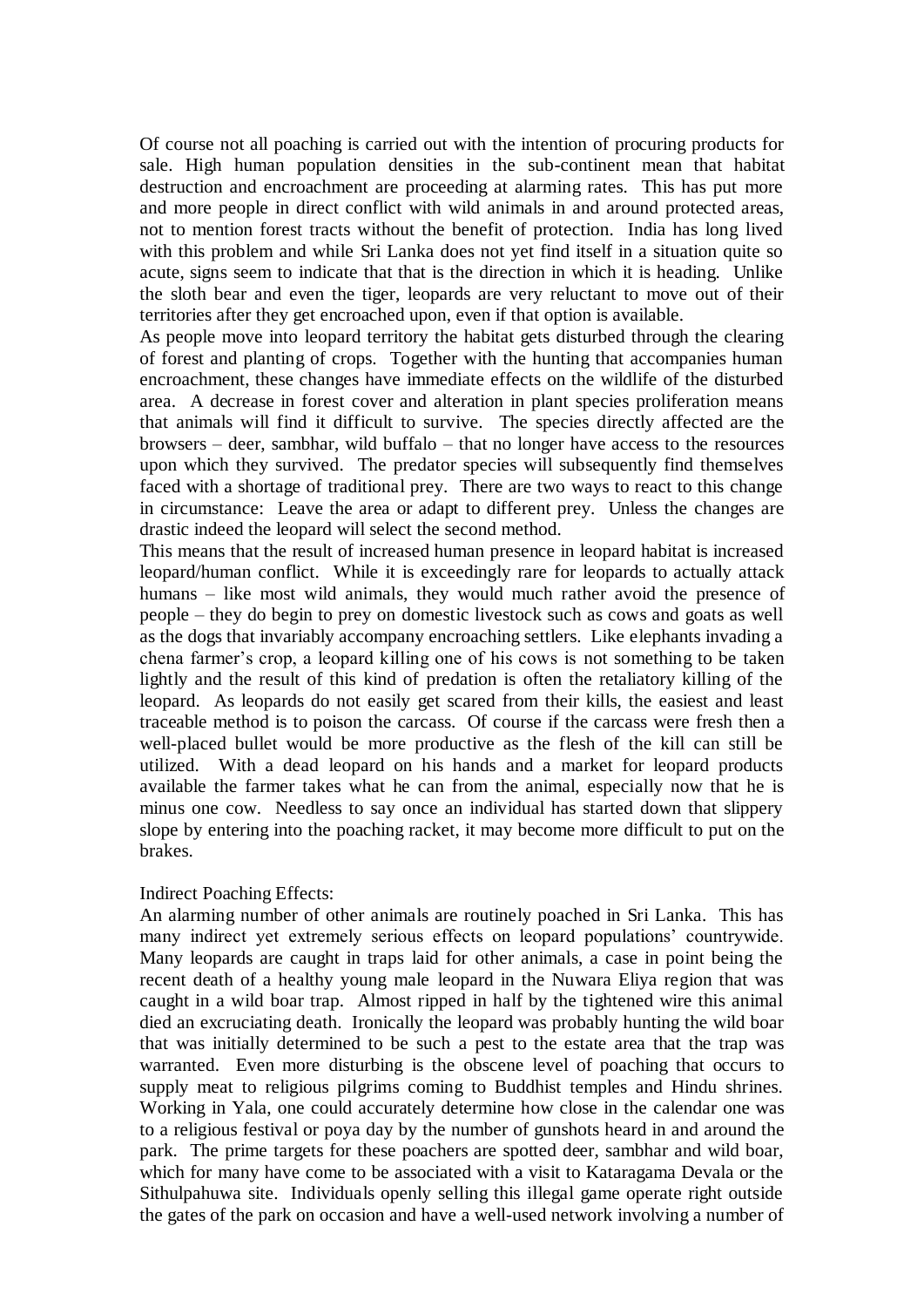Of course not all poaching is carried out with the intention of procuring products for sale. High human population densities in the sub-continent mean that habitat destruction and encroachment are proceeding at alarming rates. This has put more and more people in direct conflict with wild animals in and around protected areas, not to mention forest tracts without the benefit of protection. India has long lived with this problem and while Sri Lanka does not yet find itself in a situation quite so acute, signs seem to indicate that that is the direction in which it is heading. Unlike the sloth bear and even the tiger, leopards are very reluctant to move out of their territories after they get encroached upon, even if that option is available.

As people move into leopard territory the habitat gets disturbed through the clearing of forest and planting of crops. Together with the hunting that accompanies human encroachment, these changes have immediate effects on the wildlife of the disturbed area. A decrease in forest cover and alteration in plant species proliferation means that animals will find it difficult to survive. The species directly affected are the browsers – deer, sambhar, wild buffalo – that no longer have access to the resources upon which they survived. The predator species will subsequently find themselves faced with a shortage of traditional prey. There are two ways to react to this change in circumstance: Leave the area or adapt to different prey. Unless the changes are drastic indeed the leopard will select the second method.

This means that the result of increased human presence in leopard habitat is increased leopard/human conflict. While it is exceedingly rare for leopards to actually attack humans – like most wild animals, they would much rather avoid the presence of people – they do begin to prey on domestic livestock such as cows and goats as well as the dogs that invariably accompany encroaching settlers. Like elephants invading a chena farmer's crop, a leopard killing one of his cows is not something to be taken lightly and the result of this kind of predation is often the retaliatory killing of the leopard. As leopards do not easily get scared from their kills, the easiest and least traceable method is to poison the carcass. Of course if the carcass were fresh then a well-placed bullet would be more productive as the flesh of the kill can still be utilized. With a dead leopard on his hands and a market for leopard products available the farmer takes what he can from the animal, especially now that he is minus one cow. Needless to say once an individual has started down that slippery slope by entering into the poaching racket, it may become more difficult to put on the brakes.

#### Indirect Poaching Effects:

An alarming number of other animals are routinely poached in Sri Lanka. This has many indirect yet extremely serious effects on leopard populations' countrywide. Many leopards are caught in traps laid for other animals, a case in point being the recent death of a healthy young male leopard in the Nuwara Eliya region that was caught in a wild boar trap. Almost ripped in half by the tightened wire this animal died an excruciating death. Ironically the leopard was probably hunting the wild boar that was initially determined to be such a pest to the estate area that the trap was warranted. Even more disturbing is the obscene level of poaching that occurs to supply meat to religious pilgrims coming to Buddhist temples and Hindu shrines. Working in Yala, one could accurately determine how close in the calendar one was to a religious festival or poya day by the number of gunshots heard in and around the park. The prime targets for these poachers are spotted deer, sambhar and wild boar, which for many have come to be associated with a visit to Kataragama Devala or the Sithulpahuwa site. Individuals openly selling this illegal game operate right outside the gates of the park on occasion and have a well-used network involving a number of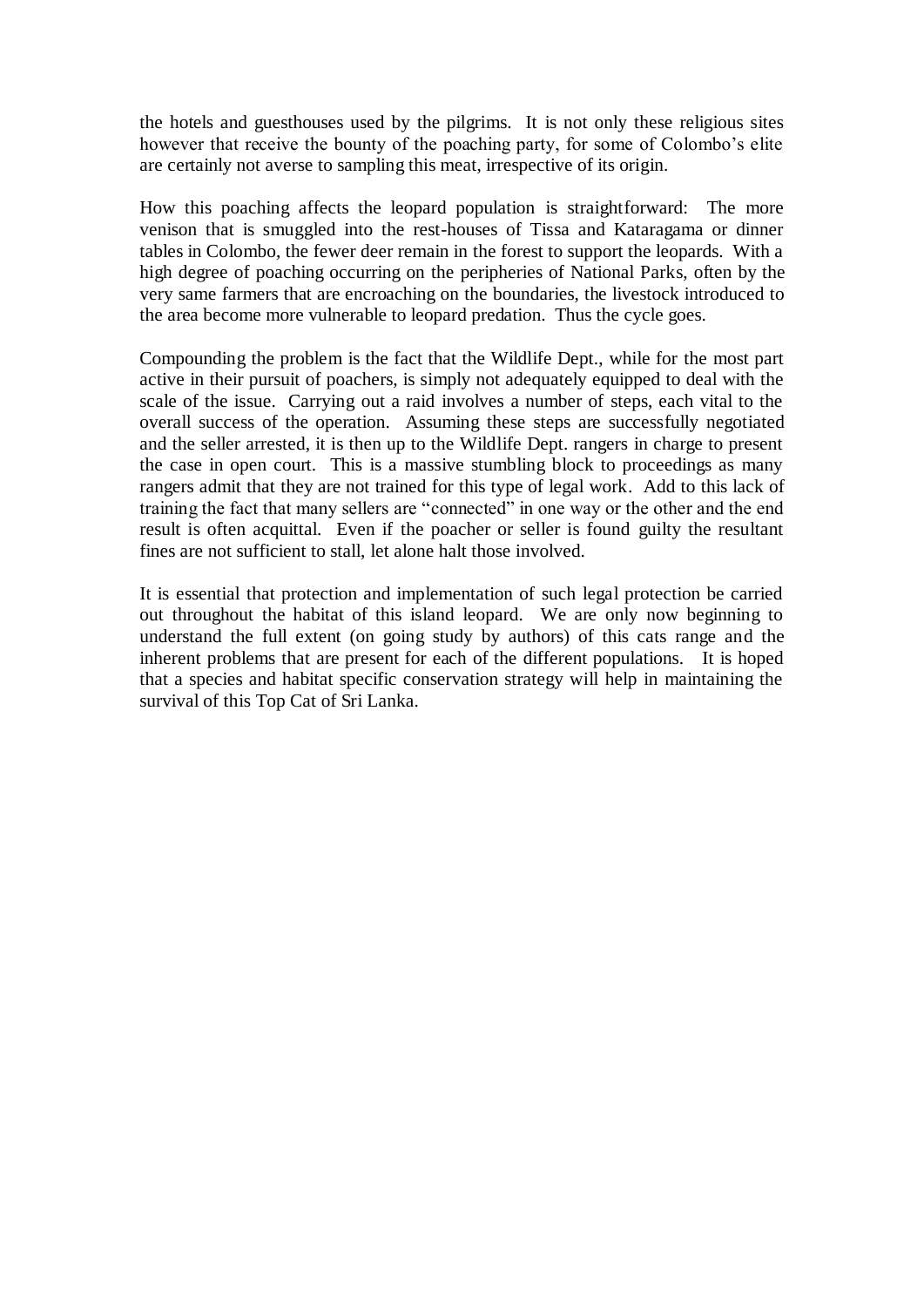the hotels and guesthouses used by the pilgrims. It is not only these religious sites however that receive the bounty of the poaching party, for some of Colombo's elite are certainly not averse to sampling this meat, irrespective of its origin.

How this poaching affects the leopard population is straightforward: The more venison that is smuggled into the rest-houses of Tissa and Kataragama or dinner tables in Colombo, the fewer deer remain in the forest to support the leopards. With a high degree of poaching occurring on the peripheries of National Parks, often by the very same farmers that are encroaching on the boundaries, the livestock introduced to the area become more vulnerable to leopard predation. Thus the cycle goes.

Compounding the problem is the fact that the Wildlife Dept., while for the most part active in their pursuit of poachers, is simply not adequately equipped to deal with the scale of the issue. Carrying out a raid involves a number of steps, each vital to the overall success of the operation. Assuming these steps are successfully negotiated and the seller arrested, it is then up to the Wildlife Dept. rangers in charge to present the case in open court. This is a massive stumbling block to proceedings as many rangers admit that they are not trained for this type of legal work. Add to this lack of training the fact that many sellers are "connected" in one way or the other and the end result is often acquittal. Even if the poacher or seller is found guilty the resultant fines are not sufficient to stall, let alone halt those involved.

It is essential that protection and implementation of such legal protection be carried out throughout the habitat of this island leopard. We are only now beginning to understand the full extent (on going study by authors) of this cats range and the inherent problems that are present for each of the different populations. It is hoped that a species and habitat specific conservation strategy will help in maintaining the survival of this Top Cat of Sri Lanka.